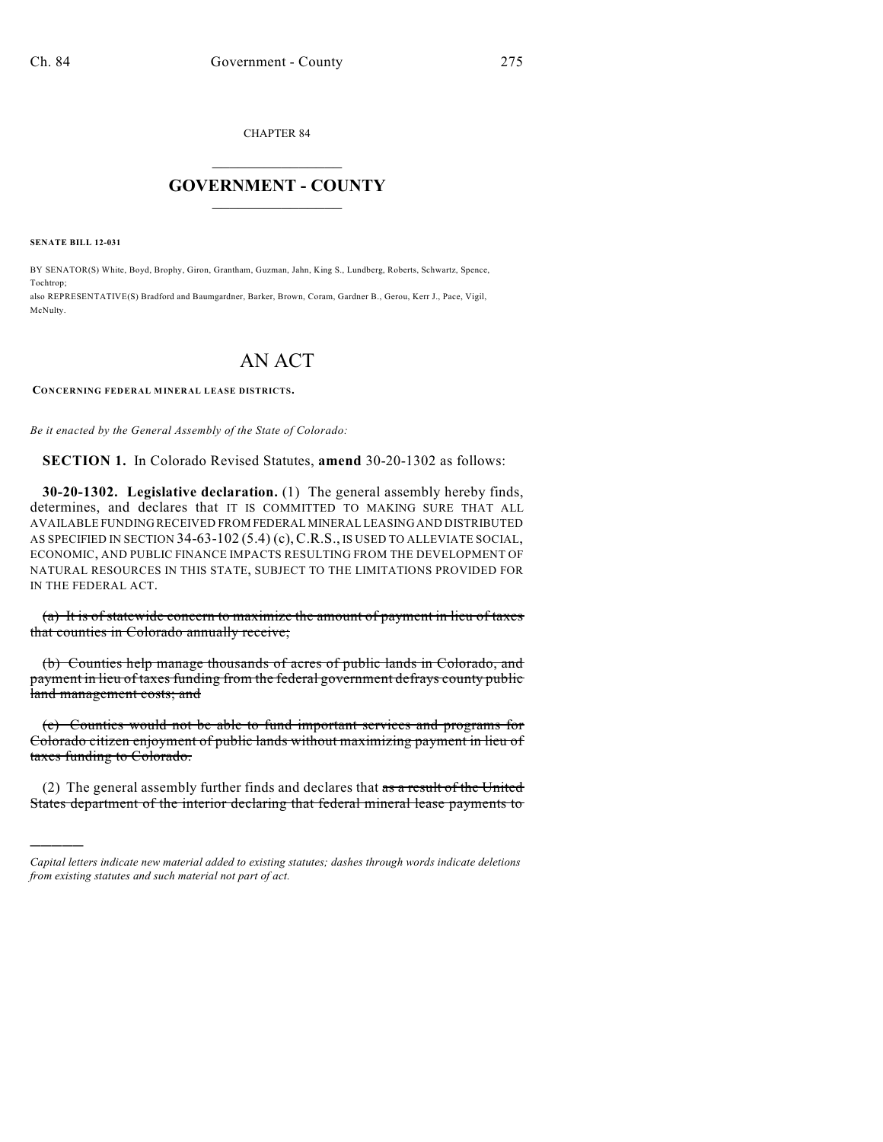CHAPTER 84

## $\mathcal{L}_\text{max}$  . The set of the set of the set of the set of the set of the set of the set of the set of the set of the set of the set of the set of the set of the set of the set of the set of the set of the set of the set **GOVERNMENT - COUNTY**  $\_$

**SENATE BILL 12-031**

)))))

BY SENATOR(S) White, Boyd, Brophy, Giron, Grantham, Guzman, Jahn, King S., Lundberg, Roberts, Schwartz, Spence, Tochtrop; also REPRESENTATIVE(S) Bradford and Baumgardner, Barker, Brown, Coram, Gardner B., Gerou, Kerr J., Pace, Vigil, McNulty.

## AN ACT

## **CONCERNING FEDERAL MINERAL LEASE DISTRICTS.**

*Be it enacted by the General Assembly of the State of Colorado:*

**SECTION 1.** In Colorado Revised Statutes, **amend** 30-20-1302 as follows:

**30-20-1302. Legislative declaration.** (1) The general assembly hereby finds, determines, and declares that IT IS COMMITTED TO MAKING SURE THAT ALL AVAILABLE FUNDING RECEIVED FROM FEDERAL MINERAL LEASING AND DISTRIBUTED AS SPECIFIED IN SECTION 34-63-102 (5.4) (c),C.R.S., IS USED TO ALLEVIATE SOCIAL, ECONOMIC, AND PUBLIC FINANCE IMPACTS RESULTING FROM THE DEVELOPMENT OF NATURAL RESOURCES IN THIS STATE, SUBJECT TO THE LIMITATIONS PROVIDED FOR IN THE FEDERAL ACT.

(a) It is of statewide concern to maximize the amount of payment in lieu of taxes that counties in Colorado annually receive;

(b) Counties help manage thousands of acres of public lands in Colorado, and payment in lieu of taxes funding from the federal government defrays county public land management costs; and

(c) Counties would not be able to fund important services and programs for Colorado citizen enjoyment of public lands without maximizing payment in lieu of taxes funding to Colorado.

(2) The general assembly further finds and declares that  $\frac{a}{x}$  are  $\frac{a}{x}$  the United States department of the interior declaring that federal mineral lease payments to

*Capital letters indicate new material added to existing statutes; dashes through words indicate deletions from existing statutes and such material not part of act.*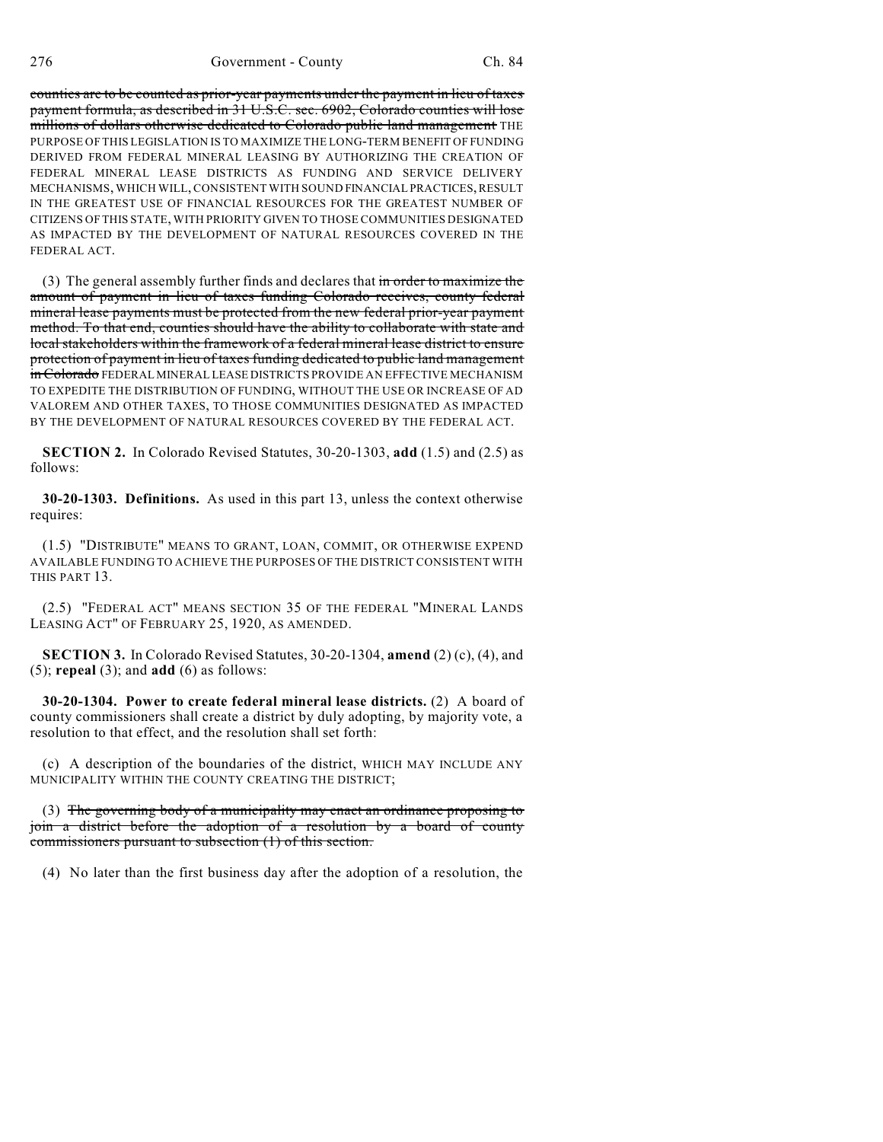counties are to be counted as prior-year payments under the payment in lieu of taxes payment formula, as described in 31 U.S.C. sec. 6902, Colorado counties will lose millions of dollars otherwise dedicated to Colorado public land management THE PURPOSE OF THIS LEGISLATION IS TO MAXIMIZE THE LONG-TERM BENEFIT OF FUNDING DERIVED FROM FEDERAL MINERAL LEASING BY AUTHORIZING THE CREATION OF FEDERAL MINERAL LEASE DISTRICTS AS FUNDING AND SERVICE DELIVERY MECHANISMS, WHICH WILL, CONSISTENT WITH SOUND FINANCIAL PRACTICES, RESULT IN THE GREATEST USE OF FINANCIAL RESOURCES FOR THE GREATEST NUMBER OF CITIZENS OF THIS STATE, WITH PRIORITY GIVEN TO THOSE COMMUNITIES DESIGNATED AS IMPACTED BY THE DEVELOPMENT OF NATURAL RESOURCES COVERED IN THE FEDERAL ACT.

(3) The general assembly further finds and declares that in order to maximize the amount of payment in lieu of taxes funding Colorado receives, county federal mineral lease payments must be protected from the new federal prior-year payment method. To that end, counties should have the ability to collaborate with state and local stakeholders within the framework of a federal mineral lease district to ensure protection of payment in lieu of taxes funding dedicated to public land management in Colorado FEDERAL MINERAL LEASE DISTRICTS PROVIDE AN EFFECTIVE MECHANISM TO EXPEDITE THE DISTRIBUTION OF FUNDING, WITHOUT THE USE OR INCREASE OF AD VALOREM AND OTHER TAXES, TO THOSE COMMUNITIES DESIGNATED AS IMPACTED BY THE DEVELOPMENT OF NATURAL RESOURCES COVERED BY THE FEDERAL ACT.

**SECTION 2.** In Colorado Revised Statutes, 30-20-1303, **add** (1.5) and (2.5) as follows:

**30-20-1303. Definitions.** As used in this part 13, unless the context otherwise requires:

(1.5) "DISTRIBUTE" MEANS TO GRANT, LOAN, COMMIT, OR OTHERWISE EXPEND AVAILABLE FUNDING TO ACHIEVE THE PURPOSES OF THE DISTRICT CONSISTENT WITH THIS PART 13.

(2.5) "FEDERAL ACT" MEANS SECTION 35 OF THE FEDERAL "MINERAL LANDS LEASING ACT" OF FEBRUARY 25, 1920, AS AMENDED.

**SECTION 3.** In Colorado Revised Statutes, 30-20-1304, **amend** (2) (c), (4), and (5); **repeal** (3); and **add** (6) as follows:

**30-20-1304. Power to create federal mineral lease districts.** (2) A board of county commissioners shall create a district by duly adopting, by majority vote, a resolution to that effect, and the resolution shall set forth:

(c) A description of the boundaries of the district, WHICH MAY INCLUDE ANY MUNICIPALITY WITHIN THE COUNTY CREATING THE DISTRICT;

(3) The governing body of a municipality may enact an ordinance proposing to join a district before the adoption of a resolution by a board of county commissioners pursuant to subsection (1) of this section.

(4) No later than the first business day after the adoption of a resolution, the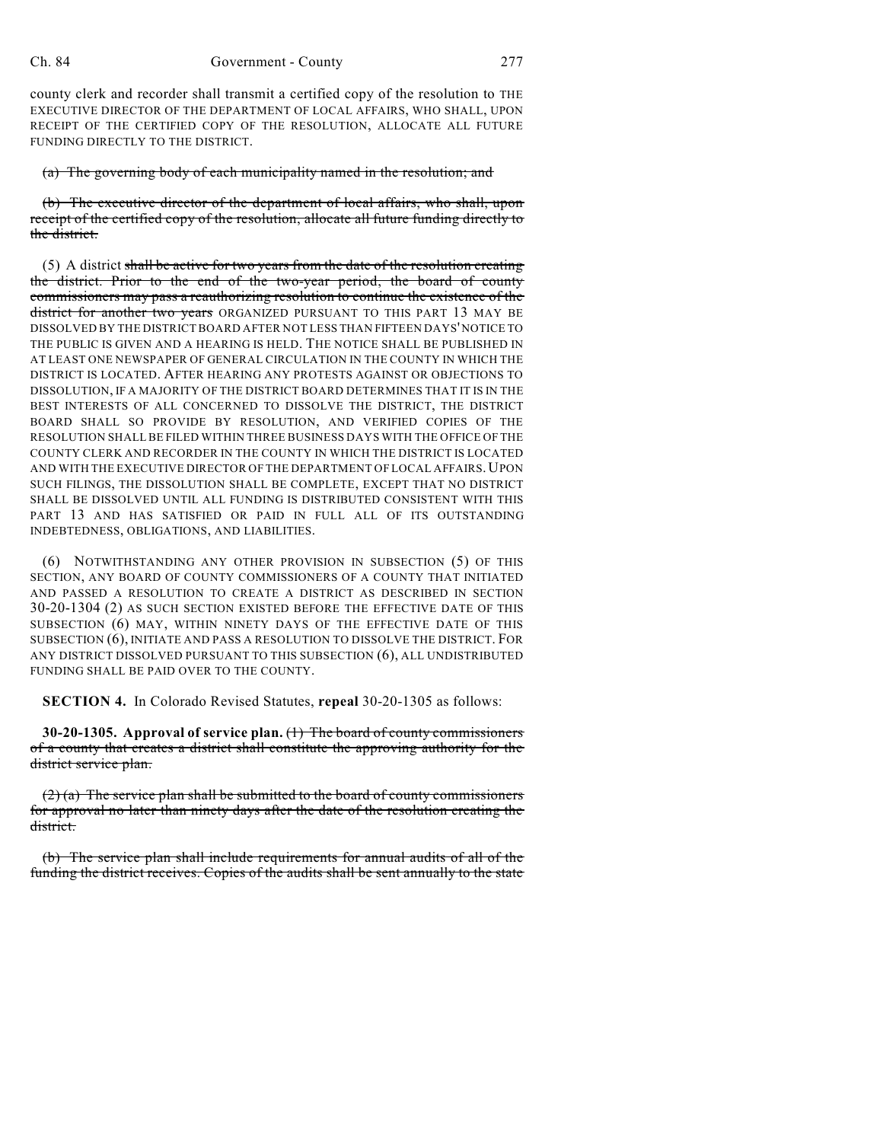county clerk and recorder shall transmit a certified copy of the resolution to THE EXECUTIVE DIRECTOR OF THE DEPARTMENT OF LOCAL AFFAIRS, WHO SHALL, UPON RECEIPT OF THE CERTIFIED COPY OF THE RESOLUTION, ALLOCATE ALL FUTURE FUNDING DIRECTLY TO THE DISTRICT.

(a) The governing body of each municipality named in the resolution; and

(b) The executive director of the department of local affairs, who shall, upon receipt of the certified copy of the resolution, allocate all future funding directly to the district.

(5) A district shall be active for two years from the date of the resolution creating the district. Prior to the end of the two-year period, the board of county commissioners may pass a reauthorizing resolution to continue the existence of the district for another two years ORGANIZED PURSUANT TO THIS PART 13 MAY BE DISSOLVED BY THE DISTRICT BOARD AFTER NOT LESS THAN FIFTEEN DAYS'NOTICE TO THE PUBLIC IS GIVEN AND A HEARING IS HELD. THE NOTICE SHALL BE PUBLISHED IN AT LEAST ONE NEWSPAPER OF GENERAL CIRCULATION IN THE COUNTY IN WHICH THE DISTRICT IS LOCATED. AFTER HEARING ANY PROTESTS AGAINST OR OBJECTIONS TO DISSOLUTION, IF A MAJORITY OF THE DISTRICT BOARD DETERMINES THAT IT IS IN THE BEST INTERESTS OF ALL CONCERNED TO DISSOLVE THE DISTRICT, THE DISTRICT BOARD SHALL SO PROVIDE BY RESOLUTION, AND VERIFIED COPIES OF THE RESOLUTION SHALL BE FILED WITHIN THREE BUSINESS DAYS WITH THE OFFICE OF THE COUNTY CLERK AND RECORDER IN THE COUNTY IN WHICH THE DISTRICT IS LOCATED AND WITH THE EXECUTIVE DIRECTOR OF THE DEPARTMENT OF LOCAL AFFAIRS. UPON SUCH FILINGS, THE DISSOLUTION SHALL BE COMPLETE, EXCEPT THAT NO DISTRICT SHALL BE DISSOLVED UNTIL ALL FUNDING IS DISTRIBUTED CONSISTENT WITH THIS PART 13 AND HAS SATISFIED OR PAID IN FULL ALL OF ITS OUTSTANDING INDEBTEDNESS, OBLIGATIONS, AND LIABILITIES.

(6) NOTWITHSTANDING ANY OTHER PROVISION IN SUBSECTION (5) OF THIS SECTION, ANY BOARD OF COUNTY COMMISSIONERS OF A COUNTY THAT INITIATED AND PASSED A RESOLUTION TO CREATE A DISTRICT AS DESCRIBED IN SECTION 30-20-1304 (2) AS SUCH SECTION EXISTED BEFORE THE EFFECTIVE DATE OF THIS SUBSECTION (6) MAY, WITHIN NINETY DAYS OF THE EFFECTIVE DATE OF THIS SUBSECTION (6), INITIATE AND PASS A RESOLUTION TO DISSOLVE THE DISTRICT. FOR ANY DISTRICT DISSOLVED PURSUANT TO THIS SUBSECTION (6), ALL UNDISTRIBUTED FUNDING SHALL BE PAID OVER TO THE COUNTY.

**SECTION 4.** In Colorado Revised Statutes, **repeal** 30-20-1305 as follows:

**30-20-1305. Approval of service plan.** (1) The board of county commissioners of a county that creates a district shall constitute the approving authority for the district service plan.

 $(2)$  (a) The service plan shall be submitted to the board of county commissioners for approval no later than ninety days after the date of the resolution creating the district.

(b) The service plan shall include requirements for annual audits of all of the funding the district receives. Copies of the audits shall be sent annually to the state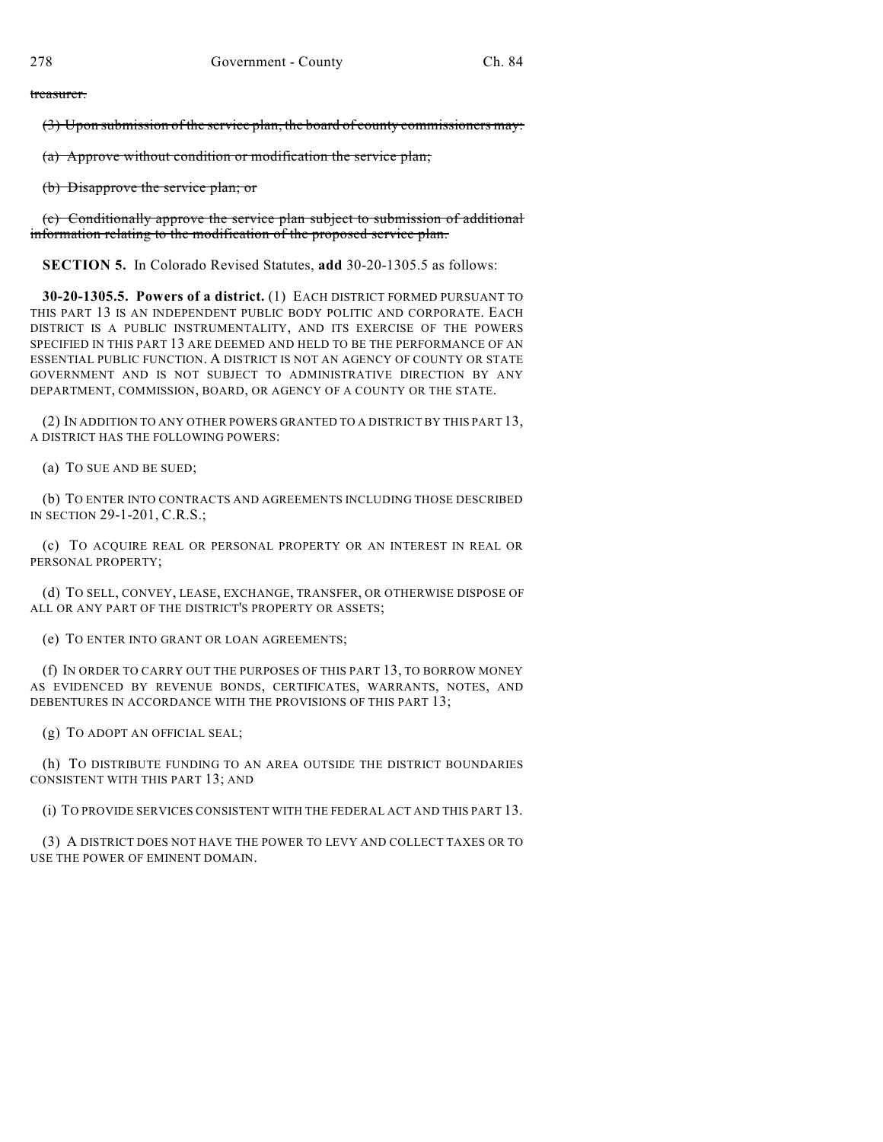treasurer.

(3) Upon submission of the service plan, the board of county commissioners may:

(a) Approve without condition or modification the service plan;

(b) Disapprove the service plan; or

(c) Conditionally approve the service plan subject to submission of additional information relating to the modification of the proposed service plan.

**SECTION 5.** In Colorado Revised Statutes, **add** 30-20-1305.5 as follows:

**30-20-1305.5. Powers of a district.** (1) EACH DISTRICT FORMED PURSUANT TO THIS PART 13 IS AN INDEPENDENT PUBLIC BODY POLITIC AND CORPORATE. EACH DISTRICT IS A PUBLIC INSTRUMENTALITY, AND ITS EXERCISE OF THE POWERS SPECIFIED IN THIS PART 13 ARE DEEMED AND HELD TO BE THE PERFORMANCE OF AN ESSENTIAL PUBLIC FUNCTION. A DISTRICT IS NOT AN AGENCY OF COUNTY OR STATE GOVERNMENT AND IS NOT SUBJECT TO ADMINISTRATIVE DIRECTION BY ANY DEPARTMENT, COMMISSION, BOARD, OR AGENCY OF A COUNTY OR THE STATE.

(2) IN ADDITION TO ANY OTHER POWERS GRANTED TO A DISTRICT BY THIS PART 13, A DISTRICT HAS THE FOLLOWING POWERS:

(a) TO SUE AND BE SUED;

(b) TO ENTER INTO CONTRACTS AND AGREEMENTS INCLUDING THOSE DESCRIBED IN SECTION 29-1-201, C.R.S.;

(c) TO ACQUIRE REAL OR PERSONAL PROPERTY OR AN INTEREST IN REAL OR PERSONAL PROPERTY;

(d) TO SELL, CONVEY, LEASE, EXCHANGE, TRANSFER, OR OTHERWISE DISPOSE OF ALL OR ANY PART OF THE DISTRICT'S PROPERTY OR ASSETS;

(e) TO ENTER INTO GRANT OR LOAN AGREEMENTS;

(f) IN ORDER TO CARRY OUT THE PURPOSES OF THIS PART 13, TO BORROW MONEY AS EVIDENCED BY REVENUE BONDS, CERTIFICATES, WARRANTS, NOTES, AND DEBENTURES IN ACCORDANCE WITH THE PROVISIONS OF THIS PART 13;

(g) TO ADOPT AN OFFICIAL SEAL;

(h) TO DISTRIBUTE FUNDING TO AN AREA OUTSIDE THE DISTRICT BOUNDARIES CONSISTENT WITH THIS PART 13; AND

(i) TO PROVIDE SERVICES CONSISTENT WITH THE FEDERAL ACT AND THIS PART 13.

(3) A DISTRICT DOES NOT HAVE THE POWER TO LEVY AND COLLECT TAXES OR TO USE THE POWER OF EMINENT DOMAIN.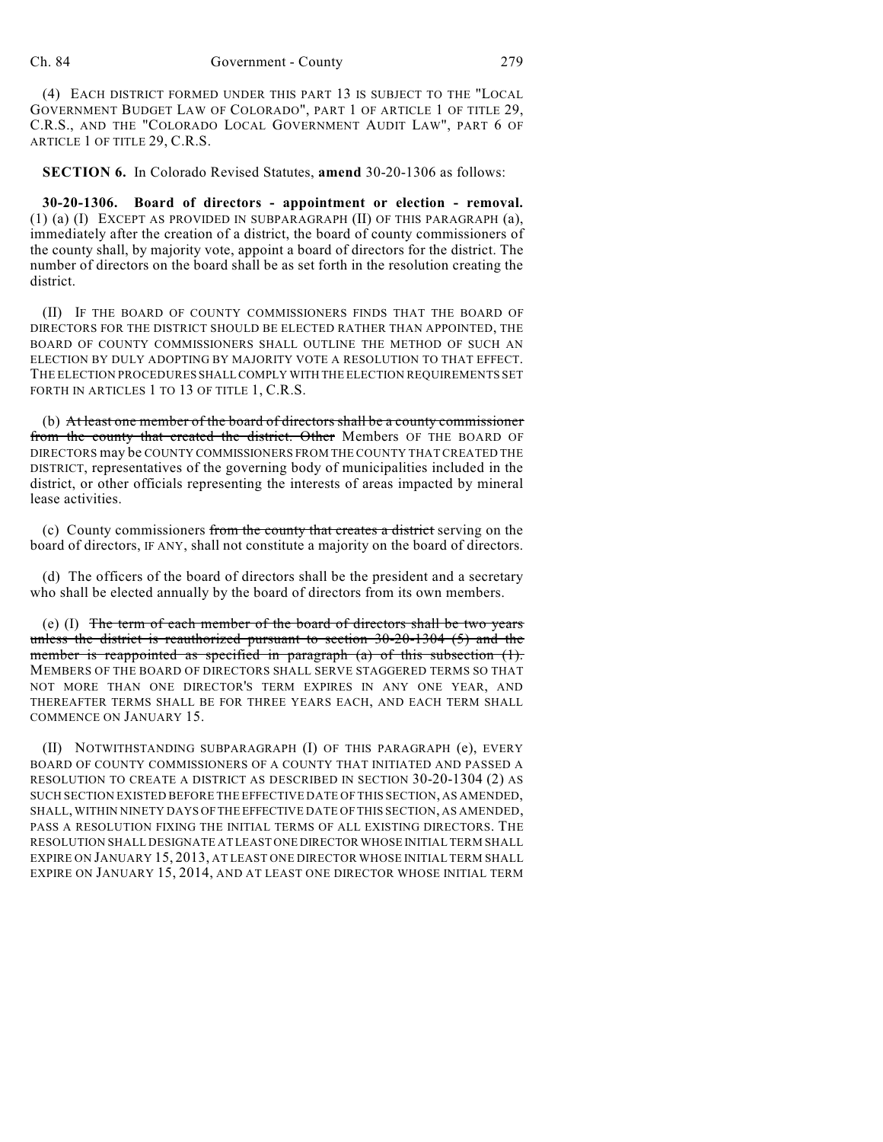(4) EACH DISTRICT FORMED UNDER THIS PART 13 IS SUBJECT TO THE "LOCAL GOVERNMENT BUDGET LAW OF COLORADO", PART 1 OF ARTICLE 1 OF TITLE 29, C.R.S., AND THE "COLORADO LOCAL GOVERNMENT AUDIT LAW", PART 6 OF ARTICLE 1 OF TITLE 29, C.R.S.

**SECTION 6.** In Colorado Revised Statutes, **amend** 30-20-1306 as follows:

**30-20-1306. Board of directors - appointment or election - removal.** (1) (a) (I) EXCEPT AS PROVIDED IN SUBPARAGRAPH (II) OF THIS PARAGRAPH (a), immediately after the creation of a district, the board of county commissioners of the county shall, by majority vote, appoint a board of directors for the district. The number of directors on the board shall be as set forth in the resolution creating the district.

(II) IF THE BOARD OF COUNTY COMMISSIONERS FINDS THAT THE BOARD OF DIRECTORS FOR THE DISTRICT SHOULD BE ELECTED RATHER THAN APPOINTED, THE BOARD OF COUNTY COMMISSIONERS SHALL OUTLINE THE METHOD OF SUCH AN ELECTION BY DULY ADOPTING BY MAJORITY VOTE A RESOLUTION TO THAT EFFECT. THE ELECTION PROCEDURES SHALL COMPLY WITH THE ELECTION REQUIREMENTS SET FORTH IN ARTICLES 1 TO 13 OF TITLE 1, C.R.S.

(b) At least one member of the board of directors shall be a county commissioner from the county that created the district. Other Members OF THE BOARD OF DIRECTORS may be COUNTY COMMISSIONERS FROM THE COUNTY THAT CREATED THE DISTRICT, representatives of the governing body of municipalities included in the district, or other officials representing the interests of areas impacted by mineral lease activities.

(c) County commissioners from the county that creates a district serving on the board of directors, IF ANY, shall not constitute a majority on the board of directors.

(d) The officers of the board of directors shall be the president and a secretary who shall be elected annually by the board of directors from its own members.

(e)  $(I)$  The term of each member of the board of directors shall be two years unless the district is reauthorized pursuant to section 30-20-1304 (5) and the member is reappointed as specified in paragraph  $(a)$  of this subsection  $(1)$ . MEMBERS OF THE BOARD OF DIRECTORS SHALL SERVE STAGGERED TERMS SO THAT NOT MORE THAN ONE DIRECTOR'S TERM EXPIRES IN ANY ONE YEAR, AND THEREAFTER TERMS SHALL BE FOR THREE YEARS EACH, AND EACH TERM SHALL COMMENCE ON JANUARY 15.

(II) NOTWITHSTANDING SUBPARAGRAPH (I) OF THIS PARAGRAPH (e), EVERY BOARD OF COUNTY COMMISSIONERS OF A COUNTY THAT INITIATED AND PASSED A RESOLUTION TO CREATE A DISTRICT AS DESCRIBED IN SECTION 30-20-1304 (2) AS SUCH SECTION EXISTED BEFORE THE EFFECTIVE DATE OF THIS SECTION, AS AMENDED, SHALL, WITHIN NINETY DAYS OFTHE EFFECTIVE DATE OF THIS SECTION, AS AMENDED, PASS A RESOLUTION FIXING THE INITIAL TERMS OF ALL EXISTING DIRECTORS. THE RESOLUTION SHALL DESIGNATE AT LEAST ONE DIRECTOR WHOSE INITIAL TERM SHALL EXPIRE ON JANUARY 15, 2013, AT LEAST ONE DIRECTOR WHOSE INITIAL TERM SHALL EXPIRE ON JANUARY 15, 2014, AND AT LEAST ONE DIRECTOR WHOSE INITIAL TERM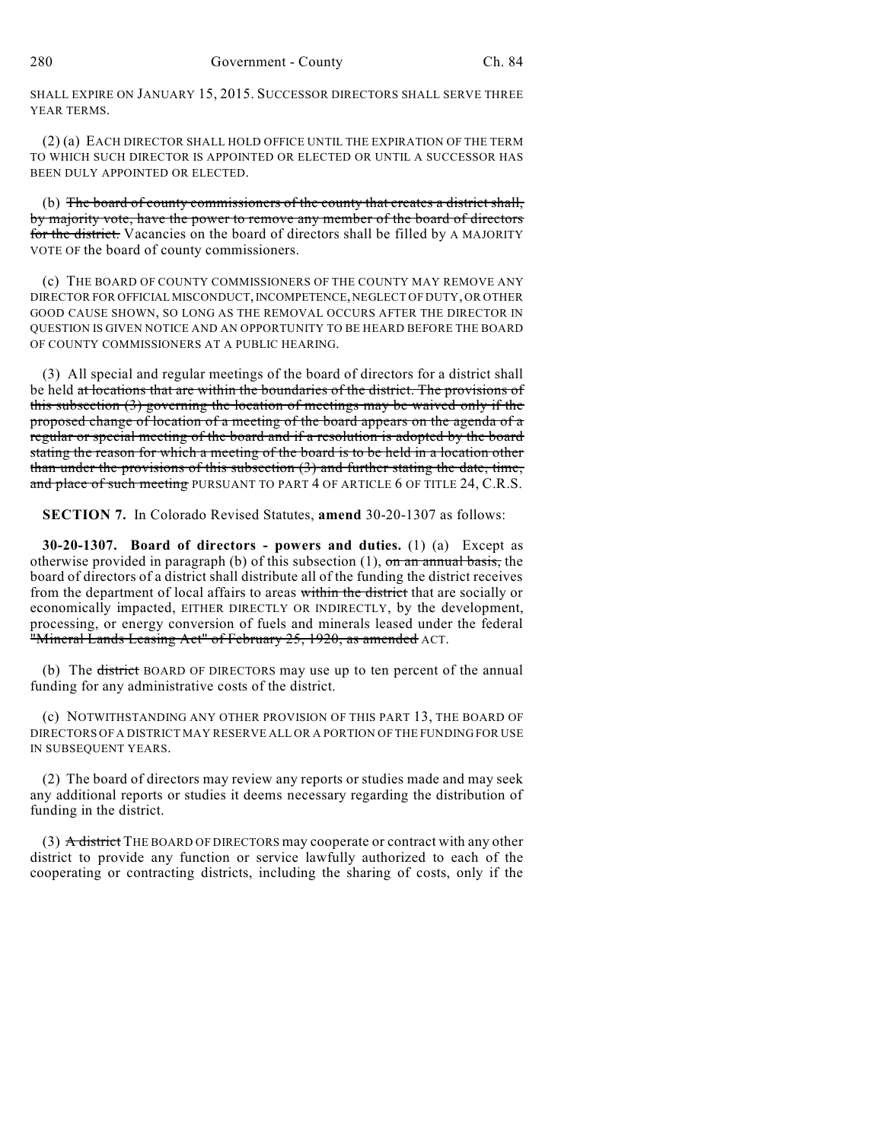SHALL EXPIRE ON JANUARY 15, 2015. SUCCESSOR DIRECTORS SHALL SERVE THREE YEAR TERMS.

(2) (a) EACH DIRECTOR SHALL HOLD OFFICE UNTIL THE EXPIRATION OF THE TERM TO WHICH SUCH DIRECTOR IS APPOINTED OR ELECTED OR UNTIL A SUCCESSOR HAS BEEN DULY APPOINTED OR ELECTED.

(b) The board of county commissioners of the county that creates a district shall, by majority vote, have the power to remove any member of the board of directors for the district. Vacancies on the board of directors shall be filled by A MAJORITY VOTE OF the board of county commissioners.

(c) THE BOARD OF COUNTY COMMISSIONERS OF THE COUNTY MAY REMOVE ANY DIRECTOR FOR OFFICIAL MISCONDUCT,INCOMPETENCE,NEGLECT OF DUTY, OR OTHER GOOD CAUSE SHOWN, SO LONG AS THE REMOVAL OCCURS AFTER THE DIRECTOR IN QUESTION IS GIVEN NOTICE AND AN OPPORTUNITY TO BE HEARD BEFORE THE BOARD OF COUNTY COMMISSIONERS AT A PUBLIC HEARING.

(3) All special and regular meetings of the board of directors for a district shall be held at locations that are within the boundaries of the district. The provisions of this subsection (3) governing the location of meetings may be waived only if the proposed change of location of a meeting of the board appears on the agenda of a regular or special meeting of the board and if a resolution is adopted by the board stating the reason for which a meeting of the board is to be held in a location other than under the provisions of this subsection (3) and further stating the date, time, and place of such meeting PURSUANT TO PART 4 OF ARTICLE 6 OF TITLE 24, C.R.S.

**SECTION 7.** In Colorado Revised Statutes, **amend** 30-20-1307 as follows:

**30-20-1307. Board of directors - powers and duties.** (1) (a) Except as otherwise provided in paragraph (b) of this subsection  $(1)$ , on an annual basis, the board of directors of a district shall distribute all of the funding the district receives from the department of local affairs to areas within the district that are socially or economically impacted, EITHER DIRECTLY OR INDIRECTLY, by the development, processing, or energy conversion of fuels and minerals leased under the federal "Mineral Lands Leasing Act" of February 25, 1920, as amended ACT.

(b) The <del>district</del> BOARD OF DIRECTORS may use up to ten percent of the annual funding for any administrative costs of the district.

(c) NOTWITHSTANDING ANY OTHER PROVISION OF THIS PART 13, THE BOARD OF DIRECTORS OF A DISTRICT MAY RESERVE ALL OR A PORTION OF THE FUNDING FOR USE IN SUBSEQUENT YEARS.

(2) The board of directors may review any reports or studies made and may seek any additional reports or studies it deems necessary regarding the distribution of funding in the district.

(3) A district THE BOARD OF DIRECTORS may cooperate or contract with any other district to provide any function or service lawfully authorized to each of the cooperating or contracting districts, including the sharing of costs, only if the